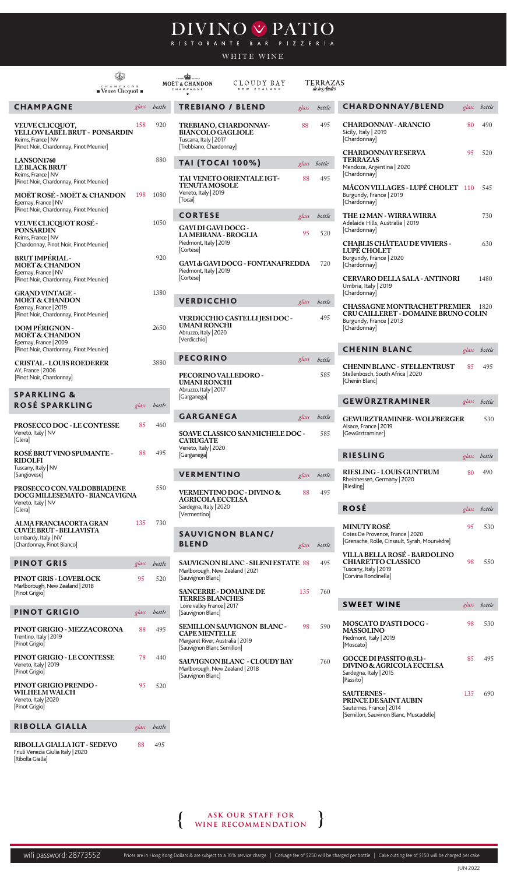wifi password: 28773552

Prices are in Hong Kong Dollars & are subject to a 10% service charge | Corkage fee of \$250 will be charged per bottle | Cake cutting fee of \$150 will be charged per cake

## DIVINO V PATIO

## WHITE WINE



| (D<br>$C$ H A M P A $G$ N $\to$<br>$\blacksquare$ Veuve Clicquot $\blacksquare$                                         |       |              | $\mathbf{r}_{\text{onode}}$<br><b>MOËT &amp; CHANDON</b><br>CHAMPAGNE                                 | CLOUDY BAY<br>NEW ZEALAND                 |       | <b>TERRAZAS</b><br>de los Andes |                                                                                                                               |       |              |
|-------------------------------------------------------------------------------------------------------------------------|-------|--------------|-------------------------------------------------------------------------------------------------------|-------------------------------------------|-------|---------------------------------|-------------------------------------------------------------------------------------------------------------------------------|-------|--------------|
| <b>CHAMPAGNE</b>                                                                                                        | glass | bottle       | <b>TREBIANO / BLEND</b>                                                                               |                                           | glass | bottle                          | <b>CHARDONNAY/BLEND</b>                                                                                                       |       | glass bottle |
| VEUVE CLICQUOT,<br>YELLOW LABEL BRUT - PONSARDIN<br>Reims, France   NV<br>[Pinot Noir, Chardonnay, Pinot Meunier]       | 158   | 920          | TREBIANO, CHARDONNAY-<br><b>BIANCOLO GAGLIOLE</b><br>Tuscana, Italy   2017<br>[Trebbiano, Chardonnay] |                                           | 88    | 495                             | <b>CHARDONNAY - ARANCIO</b><br>Sicily, Italy   2019<br>[Chardonnay]                                                           | 80    | 490          |
| LANSON1760<br><b>LE BLACK BRUT</b>                                                                                      |       | 880          | <b>TAI (TOCAI 100%)</b>                                                                               |                                           |       | glass bottle                    | <b>CHARDONNAY RESERVA</b><br><b>TERRAZAS</b><br>Mendoza, Argentina   2020                                                     | 95    | 520          |
| Reims, France   NV<br>[Pinot Noir, Chardonnay, Pinot Meunier]<br>MOËT ROSÉ - MOËT & CHANDON                             | 198   | 1080         | <b>TENUTA MOSOLE</b><br>Veneto, Italy   2019                                                          | TAI VENETO ORIENTALE IGT-                 | 88    | 495                             | [Chardonnay]<br>MÂCON VILLAGES - LUPÉ CHOLET 110<br>Burgundy, France   2019                                                   |       | 545          |
| Épernay, France   NV<br>[Pinot Noir, Chardonnay, Pinot Meunier]                                                         |       |              | [Tocai]<br><b>CORTESE</b>                                                                             |                                           | glass | bottle                          | [Chardonnay]<br>THE 12 MAN - WIRRA WIRRA                                                                                      |       | 730          |
| VEUVE CLICQUOT ROSÉ -<br><b>PONSARDIN</b><br>Reims, France   NV<br>[Chardonnay, Pinot Noir, Pinot Meunier]              |       | 1050         | GAVI DI GAVI DOCG-<br><b>LAMEIRANA - BROGLIA</b><br>Piedmont, Italy   2019                            |                                           | 95    | 520                             | Adelaide Hills, Australia   2019<br>[Chardonnay]<br><b>CHABLIS CHÂTEAU DE VIVIERS -</b>                                       |       | 630          |
| <b>BRUT IMPÉRIAL-</b><br><b>MOËT &amp; CHANDON</b><br>Épernay, France   NV                                              |       | 920          | [Cortese]<br>Piedmont, Italy   2019                                                                   | GAVI di GAVI DOCG - FONTANAFREDDA         |       | 720                             | LUPÉ CHOLET<br>Burgundy, France   2020<br>[Chardonnay]                                                                        |       |              |
| [Pinot Noir, Chardonnay, Pinot Meunier]<br><b>GRAND VINTAGE -</b>                                                       |       | 1380         | [Cortese]                                                                                             |                                           |       |                                 | CERVARO DELLA SALA - ANTINORI<br>Umbria, Italy   2019<br>[Chardonnay]                                                         |       | 1480         |
| <b>MOËT &amp; CHANDON</b><br>Épernay, France   2019<br>[Pinot Noir, Chardonnay, Pinot Meunier]                          |       |              | <b>VERDICCHIO</b>                                                                                     | VERDICCHIO CASTELLI JESI DOC -            | glass | bottle<br>495                   | <b>CHASSAGNE MONTRACHET PREMIER</b><br>CRU CAILLERET - DOMAINE BRUNO COLIN<br>Burgundy, France   2013                         |       | 1820         |
| <b>DOM PÉRIGNON -</b><br><b>MOËT &amp; CHANDON</b><br>Épernay, France   2009<br>[Pinot Noir, Chardonnay, Pinot Meunier] |       | 2650         | <b>UMANI RONCHI</b><br>Abruzzo, Italy   2020<br>[Verdicchio]                                          |                                           |       |                                 | [Chardonnay]<br><b>CHENIN BLANC</b>                                                                                           | glass | bottle       |
| <b>CRISTAL - LOUIS ROEDERER</b>                                                                                         |       | 3880         | <b>PECORINO</b>                                                                                       |                                           | glass | bottle                          |                                                                                                                               |       |              |
| AY, France   2006<br>[Pinot Noir, Chardonnay]                                                                           |       |              | PECORINO VALLEDORO -<br>UMANI RONCHI<br>Abruzzo, Italy   2017                                         |                                           |       | 585                             | <b>CHENIN BLANC - STELLENTRUST</b><br>Stellenbosch, South Africa   2020<br>[Chenin Blanc]                                     | 85    | 495          |
| <b>SPARKLING &amp;</b><br>ROSÉ SPARKLING                                                                                |       | glass bottle | [Garganega]                                                                                           |                                           |       |                                 | GEWÜRZTRAMINER                                                                                                                |       | glass bottle |
|                                                                                                                         | 85    | 460          | <b>GARGANEGA</b>                                                                                      |                                           | glass | bottle                          | <b>GEWURZTRAMINER-WOLFBERGER</b>                                                                                              |       | 530          |
| PROSECCO DOC - LE CONTESSE<br>Veneto, Italy   NV<br>[Glera]                                                             |       |              | <b>CA'RUGATE</b><br>Veneto, Italy   2020                                                              | SOAVE CLASSICO SAN MICHELE DOC -          |       | 585                             | Alsace, France   2019<br>[Gewürztraminer]                                                                                     |       |              |
| ROSÉ BRUT VINO SPUMANTE -<br><b>RIDOLFI</b>                                                                             | 88    | 495          | [Garganega]                                                                                           |                                           |       |                                 | <b>RIESLING</b>                                                                                                               |       | glass bottle |
| Tuscany, Italy   NV<br>[Sangiovese]                                                                                     |       | 550          | <b>VERMENTINO</b>                                                                                     |                                           | glass | bottle                          | <b>RIESLING - LOUIS GUNTRUM</b><br>Rheinhessen, Germany   2020<br>[Riesling]                                                  | 80    | 490          |
| PROSECCO CON. VALDOBBIADENE<br>DOCG MILLESEMATO - BIANCA VIGNA<br>Veneto, Italy   NV<br>[Glera]                         |       |              | <b>AGRICOLA ECCELSA</b><br>Sardegna, Italy   2020                                                     | VERMENTINO DOC - DIVINO &                 | 88    | 495                             | <b>ROSÉ</b>                                                                                                                   |       | glass bottle |
| ALMA FRANCIACORTA GRAN                                                                                                  | 135   | 730          | [Vermentino]                                                                                          |                                           |       |                                 |                                                                                                                               |       |              |
| <b>CUVÉE BRUT - BELLAVISTA</b><br>Lombardy, Italy   NV<br>[Chardonnay, Pinot Bianco]                                    |       |              | <b>SAUVIGNON BLANC/</b><br><b>BLEND</b>                                                               |                                           | glass | bottle                          | <b>MINUTY ROSÉ</b><br>Cotes De Provence, France   2020<br>[Grenache, Rolle, Cinsault, Syrah, Mourvèdre]                       | 95    | 530          |
| <b>PINOT GRIS</b>                                                                                                       | glass | bottle       |                                                                                                       | <b>SAUVIGNON BLANC - SILENI ESTATE 88</b> |       | 495                             | VILLA BELLA ROSÉ - BARDOLINO<br><b>CHIARETTO CLASSICO</b><br>Tuscany, Italy   2019                                            | 98    | 550          |
| PINOT GRIS - LOVEBLOCK<br>Marlborough, New Zealand   2018<br>[Pinot Grigio]                                             | 95    | 520          | Marlborough, New Zealand   2021<br>[Sauvignon Blanc]<br><b>SANCERRE - DOMAINE DE</b>                  |                                           | 135   | 760                             | [Corvina Rondinella]                                                                                                          |       |              |
| <b>PINOT GRIGIO</b>                                                                                                     | glass | bottle       | <b>TERRES BLANCHES</b><br>Loire valley France   2017<br>[Sauvignon Blanc]                             |                                           |       |                                 | <b>SWEET WINE</b>                                                                                                             |       | glass bottle |
| PINOT GRIGIO - MEZZACORONA<br>Trentino, Italy   2019<br>[Pinot Grigio]                                                  | 88    | 495          | <b>CAPE MENTELLE</b><br>Margaret River, Australia   2019                                              | SEMILLON SAUVIGNON BLANC -                | 98    | 590                             | <b>MOSCATO D'ASTI DOCG-</b><br><b>MASSOLINO</b><br>Piedmont, Italy   2019<br>[Moscato]                                        | 98    | 530          |
| PINOT GRIGIO - LE CONTESSE<br>Veneto, Italy   2019<br>[Pinot Grigio]                                                    | 78    | 440          | [Sauvignon Blanc Semillon]<br>Marlborough, New Zealand   2018                                         | <b>SAUVIGNON BLANC - CLOUDY BAY</b>       |       | 760                             | GOCCE DI PASSITO (0.5L) -<br>DIVINO & AGRICOLA ECCELSA<br>Sardegna, Italy   2015                                              | 85    | 495          |
| PINOT GRIGIO PRENDO-<br><b>WILHELM WALCH</b><br>Veneto, Italy 2020<br>[Pinot Grigio]                                    | 95    | 520          | [Sauvignon Blanc]                                                                                     |                                           |       |                                 | [Passito]<br><b>SAUTERNES-</b><br>PRINCE DE SAINT AUBIN<br>Sauternes, France   2014<br>[Semillon, Sauvinon Blanc, Muscadelle] | 135   | 690          |
| <b>RIBOLLA GIALLA</b>                                                                                                   |       | glass bottle |                                                                                                       |                                           |       |                                 |                                                                                                                               |       |              |
| RIBOLLA GIALLA IGT - SEDEVO<br>Friuli Venezia Giulia Italy   2020<br>[Ribolla Gialla]                                   | 88    | 495          |                                                                                                       |                                           |       |                                 |                                                                                                                               |       |              |

| g | <b>CHARDONNAY/BLEND</b>                                                                                               | glass | bottle |
|---|-----------------------------------------------------------------------------------------------------------------------|-------|--------|
|   | <b>CHARDONNAY - ARANCIO</b><br>Sicily, Italy   2019<br>[Chardonnay]                                                   | 80    | 490    |
|   | <b>CHARDONNAY RESERVA</b><br>TERRAZAS<br>Mendoza, Argentina   2020<br>[Chardonnay]                                    | 95    | 520    |
|   | <b>MÂCON VILLAGES - LUPÉ CHOLET</b><br>Burgundy, France   2019<br>[Chardonnay]                                        | 110   | 545    |
| g | THE 12 MAN - WIRRA WIRRA<br>Adelaide Hills, Australia   2019<br>[Chardonnay]                                          |       | 730    |
|   | <b>CHABLIS CHÂTEAU DE VIVIERS -</b><br>LUPÉ CHOLET<br>Burgundy, France   2020<br>[Chardonnay]                         |       | 630    |
|   | <b>CERVARO DELLA SALA - ANTINORI</b><br>Umbria, Italy   2019<br>[Chardonnay]                                          |       | 1480   |
|   | <b>CHASSAGNE MONTRACHET PREMIER</b><br>CRU CAILLERET - DOMAINE BRUNO COLIN<br>Burgundy, France   2013<br>[Chardonnay] |       | 1820   |
|   | <b>CHENIN BLANC</b>                                                                                                   | glass | bottle |
| Ç | <b>CHENIN BLANC - STELLENTRUST</b><br>Stellenbosch, South Africa   2020<br>[Chenin Blanc]                             | 85    | 495    |
|   | <b>GEWÜRZTRAMINER</b>                                                                                                 | glass | bottle |
| Ç | GEWURZTRAMINER-WOLFBERGER<br>Alsace, France   2019<br>[Gewürztraminer]                                                |       | 530    |
|   | <b>RIESLING</b>                                                                                                       | glass | bottle |
|   | RIESLING - LOUIS GUNTRUM<br>Rheinhessen, Germany   2020<br>[Riesling]                                                 | 80    | 490    |
|   | <b>ROSÉ</b>                                                                                                           | glass | bottle |
| Ç | <b>MINUTY ROSÉ</b><br>Cotes De Provence, France   2020<br>[Grenache, Rolle, Cinsault, Syrah, Mourvèdre]               | 95    | 530    |
|   | VILLA BELLA ROSÉ - BARDOLINO<br><b>CHIARETTO CLASSICO</b><br>Tuscany, Italy   2019<br>[Corvina Rondinella]            | 98    | 550    |
|   | <b>SWEET WINE</b>                                                                                                     | glass | bottle |
|   |                                                                                                                       |       |        |